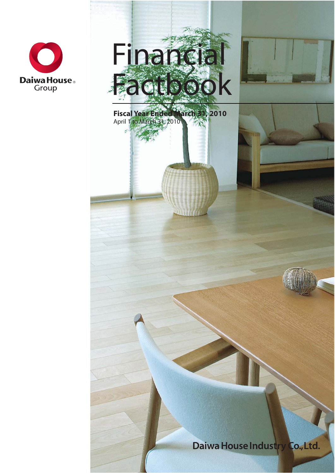





 $-1$ Hh

Daiwa House Industry Co., Ltd.

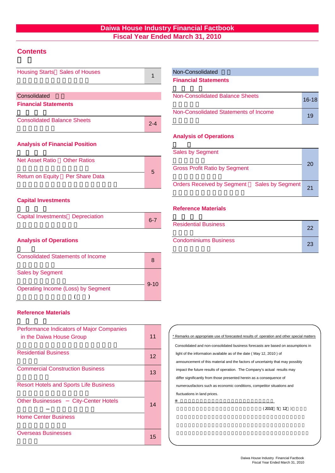# **Daiwa House Industry Financial Factbook Fiscal Year Ended March 31, 2010**

# **Contents**

| Housing Starts Sales of Houses           | 1       | Non-Consolidated                                             |
|------------------------------------------|---------|--------------------------------------------------------------|
|                                          |         | <b>Financial Statements</b>                                  |
| Consolidated                             |         | <b>Non-Consolidated Balance Sheets</b>                       |
| <b>Financial Statements</b>              |         |                                                              |
|                                          |         | Non-Consolidated Statements of Income                        |
| <b>Consolidated Balance Sheets</b>       | $2 - 4$ |                                                              |
|                                          |         | <b>Analysis of Operations</b>                                |
| <b>Analysis of Financial Position</b>    |         |                                                              |
|                                          |         | <b>Sales by Segment</b>                                      |
| Net Asset Ratio  Other Ratios            |         |                                                              |
|                                          | 5       | <b>Gross Profit Ratio by Segment</b>                         |
| Return on Equity Per Share Data          |         | <b>Orders Received by Segment</b><br><b>Sales by Segment</b> |
| <b>Capital Investments</b>               |         |                                                              |
|                                          |         | <b>Reference Materials</b>                                   |
| Capital Investments Depreciation         | $6 - 7$ |                                                              |
|                                          |         | <b>Residential Business</b>                                  |
| <b>Analysis of Operations</b>            |         | <b>Condominiums Business</b>                                 |
| <b>Consolidated Statements of Income</b> | 8       |                                                              |
| $\sim$ $\sim$ $\sim$ $\sim$ $\sim$       |         |                                                              |

# Non-Consolidated

| Non-Consolidated Balance Sheets       | $16-18$ |
|---------------------------------------|---------|
| Non-Consolidated Statements of Income | 19      |

### **Analysis of Operations**

| <b>Sales by Segment</b><br><b>Gross Profit Ratio by Segment</b> | 20 |
|-----------------------------------------------------------------|----|
| Orders Received by Segment Sales by Segment                     | 21 |

### **Reference Materials**

| <b>Residential Business</b>  | つつ |
|------------------------------|----|
| <b>Condominiums Business</b> |    |

| <b>Consolidated Statements of Income</b> |          |
|------------------------------------------|----------|
| <b>Sales by Segment</b>                  | $9 - 10$ |
| Operating Income (Loss) by Segment       |          |
|                                          |          |

### **Reference Materials**

| Performance Indicators of Major Companies<br>in the Daiwa House Group | 11 | * Remarks on appropriate use of forecasted results of operation and other special mat<br>Consolidated and non-consolidated business forecasts are based on assumptions in |
|-----------------------------------------------------------------------|----|---------------------------------------------------------------------------------------------------------------------------------------------------------------------------|
| <b>Residential Business</b>                                           | 12 | light of the information available as of the date (May 12, 2010) of<br>announcement of this material and the factors of uncertainty that may possibly                     |
| <b>Commercial Construction Business</b>                               | 13 | impact the future results of operation. The Company's actual results may<br>differ significantly from those presented herein as a consequence of                          |
| <b>Resort Hotels and Sports Life Business</b>                         |    | numerousfactors such as economic conditions, competitor situations and<br>fluctuations in land prices.                                                                    |
| <b>Other Businesses</b><br><b>City-Center Hotels</b>                  | 14 | $(2010 \t 5 \t 12)$                                                                                                                                                       |
| <b>Home Center Business</b>                                           |    |                                                                                                                                                                           |
| <b>Overseas Businesses</b>                                            | 15 |                                                                                                                                                                           |

| * Remarks on appropriate use of forecasted results of operation and other special matters |
|-------------------------------------------------------------------------------------------|
| Consolidated and non-consolidated business forecasts are based on assumptions in          |
| light of the information available as of the date (May 12, 2010) of                       |
| announcement of this material and the factors of uncertainty that may possibly            |
| impact the future results of operation. The Company's actual results may                  |
| differ significantly from those presented herein as a consequence of                      |
| numerousfactors such as economic conditions, competitor situations and                    |
| fluctuations in land prices.                                                              |
|                                                                                           |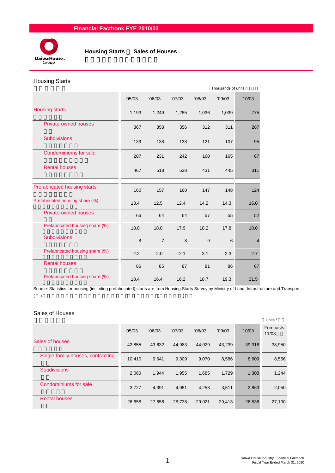

 **Housing Starts** / **Sales of Houses**

### Housing Starts

|                                 |        |                |        |        | (Thousands of units / |        |  |
|---------------------------------|--------|----------------|--------|--------|-----------------------|--------|--|
|                                 | '05/03 | '06/03         | '07/03 | '08/03 | '09/03                | '10/03 |  |
| <b>Housing starts</b>           | 1,193  | 1,249          | 1,285  | 1,036  | 1,039                 | 775    |  |
| Private-owned houses            | 367    | 353            | 356    | 312    | 311                   | 287    |  |
| <b>Subdivisions</b>             | 139    | 138            | 138    | 121    | 107                   | 95     |  |
| Condominiums for sale           | 207    | 231            | 242    | 160    | 165                   | 67     |  |
| <b>Rental houses</b>            | 467    | 518            | 538    | 431    | 445                   | 311    |  |
| Prefabricated housing starts    | 160    | 157            | 160    | 147    | 148                   | 124    |  |
| Prefabricated housing share (%) | 13.4   | 12.5           | 12.4   | 14.2   | 14.3                  | 16.0   |  |
| <b>Private-owned houses</b>     | 66     | 64             | 64     | 57     | 55                    | 52     |  |
| Prefabricated housing share (%) | 18.0   | 18.0           | 17.9   | 18.2   | 17.8                  | 18.0   |  |
| <b>Subdivisions</b>             | 8      | $\overline{7}$ | 8      | 9      | 6                     | 4      |  |
| Prefabricated housing share (%) | 2.2    | 2.0            | 2.1    | 3.1    | 2.3                   | 2.7    |  |
| <b>Rental houses</b>            | 86     | 85             | 87     | 81     | 86                    | 67     |  |
| Prefabricated housing share (%) | 18.4   | 16.4           | 16.2   | 18.7   | 19.3                  | 21.5   |  |

Source: Statistics for housing (including prefabricated) starts are from Housing Starts Survey by Ministry of Land, Infrastructure and Transport.  $($  ) and  $($   $)$ 

### Sales of Houses

|                                   |        |        |        |        |        |        | Units /             |
|-----------------------------------|--------|--------|--------|--------|--------|--------|---------------------|
|                                   | '05/03 | '06/03 | '07/03 | '08/03 | '09/03 | '10/03 | Forecasts<br>'11/03 |
| Sales of houses                   | 42,855 | 43,632 | 44,983 | 44,029 | 43,239 | 39,318 | 38,950              |
| Single-family houses, contracting | 10,410 | 9,641  | 9,309  | 9,070  | 8,586  | 8,609  | 8,556               |
| <b>Subdivisions</b>               | 2,060  | 1,944  | 1,955  | 1,685  | 1,729  | 1,308  | 1,244               |
| Condominiums for sale             | 3,727  | 4.391  | 4.981  | 4,253  | 3,511  | 2,863  | 2,050               |
| <b>Rental houses</b>              | 26,658 | 27,656 | 28,738 | 29,021 | 29.413 | 26,538 | 27,100              |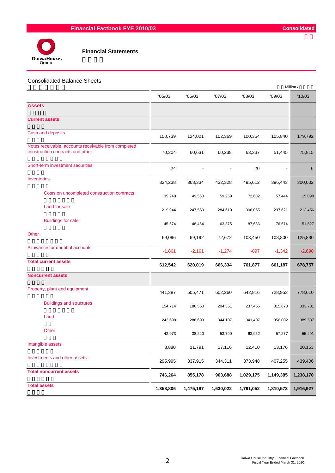

#### Consolidated Balance Sheets

|                                                                                          |           |           |           |           |           | Million / |
|------------------------------------------------------------------------------------------|-----------|-----------|-----------|-----------|-----------|-----------|
|                                                                                          | '05/03    | '06/03    | '07/03    | '08/03    | '09/03    | '10/03    |
| <b>Assets</b>                                                                            |           |           |           |           |           |           |
| <b>Current assets</b>                                                                    |           |           |           |           |           |           |
| Cash and deposits                                                                        | 150,739   | 124,021   | 102,369   | 100,354   | 105,840   | 179,792   |
| Notes receivable, accounts receivable from completed<br>construction contracts and other | 70,304    | 60,631    | 60,238    | 63,337    | 51,445    | 75,815    |
| Short-term investment securities                                                         | 24        |           |           | 20        |           | 6         |
| Inventories                                                                              | 324,238   | 368,334   | 432,328   | 495,612   | 396,443   | 300,002   |
| Costs on uncompleted construction contracts                                              | 35,248    | 49,560    | 59,259    | 72,602    | 57,444    | 15,098    |
| Land for sale                                                                            | 219,944   | 247,569   | 284,610   | 308,055   | 237,621   | 213,456   |
| <b>Buildings for sale</b>                                                                | 45,574    | 48,464    | 63,375    | 87,686    | 76,574    | 51,527    |
| Other                                                                                    | 69,096    | 69,192    | 72,672    | 103,450   | 108,800   | 125,830   |
| Allowance for doubtful accounts                                                          | $-1,861$  | $-2,161$  | $-1,274$  | $-897$    | $-1,342$  | $-2,690$  |
| <b>Total current assets</b>                                                              | 612,542   | 620,019   | 666,334   | 761,877   | 661,187   | 678,757   |
| <b>Noncurrent assets</b>                                                                 |           |           |           |           |           |           |
| Property, plant and equipment                                                            | 441,387   | 505,471   | 602,260   | 642,816   | 728,953   | 778,610   |
| <b>Buildings and structures</b>                                                          | 154,714   | 180,550   | 204,361   | 237,455   | 315,673   | 333,731   |
| Land                                                                                     | 243,698   | 286,699   | 344,107   | 341,407   | 356,002   | 389,587   |
| Other                                                                                    | 42,973    | 38,220    | 53,790    | 63,952    | 57,277    | 55,291    |
| Intangible assets                                                                        | 8,880     | 11,791    | 17,116    | 12,410    | 13,176    | 20,153    |
| Investments and other assets                                                             | 295,995   | 337,915   | 344,311   | 373,948   | 407,255   | 439,406   |
| <b>Total noncurrent assets</b>                                                           | 746,264   | 855,178   | 963,688   | 1,029,175 | 1,149,385 | 1,238,170 |
| <b>Total assets</b>                                                                      | 1,358,806 | 1,475,197 | 1,630,022 | 1,791,052 | 1,810,573 | 1,916,927 |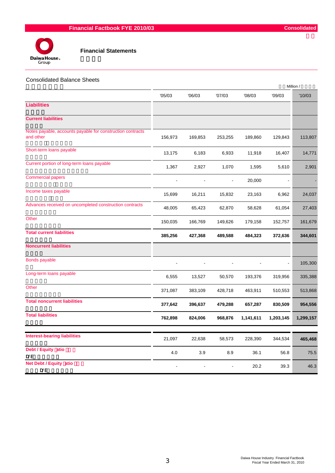

| <b>Consolidated Balance Sheets</b> |  |  |
|------------------------------------|--|--|
|------------------------------------|--|--|

|                                                                         |         |         |         |           |           | Million / |
|-------------------------------------------------------------------------|---------|---------|---------|-----------|-----------|-----------|
|                                                                         | '05/03  | '06/03  | '07/03  | '08/03    | '09/03    | '10/03    |
| <b>Liabilities</b>                                                      |         |         |         |           |           |           |
| <b>Current liabilities</b>                                              |         |         |         |           |           |           |
| Notes payable, accounts payable for construction contracts<br>and other | 156,973 | 169,853 | 253,255 | 189,860   | 129,843   | 113,807   |
| Short-term loans payable                                                | 13,175  | 6,183   | 6,933   | 11,918    | 16,407    | 14,771    |
| Current portion of long-term loans payable                              | 1,367   | 2,927   | 1,070   | 1,595     | 5,610     | 2,901     |
| <b>Commercial papers</b>                                                |         |         |         | 20,000    |           |           |
| Income taxes payable                                                    | 15,699  | 16,211  | 15,832  | 23,163    | 6,962     | 24,037    |
| Advances received on uncompleted construction contracts                 | 48,005  | 65,423  | 62,870  | 58,628    | 61,054    | 27,403    |
| Other                                                                   | 150,035 | 166,769 | 149,626 | 179,158   | 152,757   | 161,679   |
| <b>Total current liabilities</b>                                        | 385,256 | 427,368 | 489,588 | 484,323   | 372,636   | 344,601   |
| <b>Noncurrent liabilities</b>                                           |         |         |         |           |           |           |
| <b>Bonds payable</b>                                                    |         |         |         |           |           | 105,300   |
| Long-term loans payable                                                 | 6,555   | 13,527  | 50,570  | 193,376   | 319,956   | 335,388   |
| Other                                                                   | 371,087 | 383,109 | 428,718 | 463,911   | 510,553   | 513,868   |
| <b>Total noncurrent liabilities</b>                                     | 377,642 | 396,637 | 479,288 | 657,287   | 830,509   | 954,556   |
| <b>Total liabilities</b>                                                | 762,898 | 824,006 | 968,876 | 1,141,611 | 1,203,145 | 1,299,157 |
|                                                                         |         |         |         |           |           |           |
| <b>Interest-bearing liabilities</b>                                     | 21,097  | 22,638  | 58,573  | 228,390   | 344,534   | 465,468   |
| Debt / Equity atio<br>D/E                                               | 4.0     | 3.9     | 8.9     | 36.1      | 56.8      | 75.5      |
| <b>Net Debt / Equity atio</b><br><b>D</b> /E                            |         |         |         | 20.2      | 39.3      | 46.3      |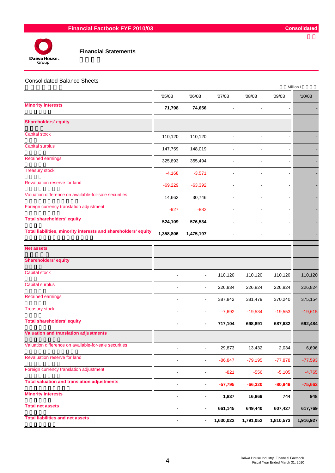



|                                                                |                              |                              |                |                |                | Million / |
|----------------------------------------------------------------|------------------------------|------------------------------|----------------|----------------|----------------|-----------|
|                                                                | '05/03                       | '06/03                       | '07/03         | '08/03         | '09/03         | '10/03    |
| <b>Minority interests</b>                                      | 71,798                       | 74,656                       |                | $\blacksquare$ | $\blacksquare$ |           |
| <b>Shareholders' equity</b>                                    |                              |                              |                |                |                |           |
| Capital stock                                                  | 110,120                      | 110,120                      |                |                |                |           |
| <b>Capital surplus</b>                                         | 147,759                      | 148,019                      | $\overline{a}$ | $\overline{a}$ | $\blacksquare$ |           |
| <b>Retained earnings</b>                                       | 325,893                      | 355,494                      |                |                | L.             |           |
| <b>Treasury stock</b>                                          | $-4,168$                     | $-3,571$                     | $\overline{a}$ |                |                |           |
| Revaluation reserve for land                                   | $-69,229$                    | $-63,392$                    | ä,             | ÷,             |                |           |
| Valuation difference on available-for-sale securities          | 14,662                       | 30,746                       | ä,             |                |                |           |
| Foreign currency translation adjustment                        | $-927$                       | $-882$                       | $\blacksquare$ |                | $\blacksquare$ |           |
| <b>Total shareholders' equity</b>                              | 524,109                      | 576,534                      | $\blacksquare$ |                |                |           |
| Total liabilities, minority interests and shareholders' equity | 1,358,806                    | 1,475,197                    |                |                |                |           |
| <b>Net assets</b>                                              |                              |                              |                |                |                |           |
| <b>Shareholders' equity</b>                                    |                              |                              |                |                |                |           |
| <b>Capital stock</b>                                           | $\overline{a}$               | $\blacksquare$               | 110,120        | 110,120        | 110,120        | 110,120   |
| <b>Capital surplus</b>                                         | $\blacksquare$               | $\blacksquare$               | 226,834        | 226,824        | 226,824        | 226,824   |
| <b>Retained earnings</b>                                       |                              | $\blacksquare$               | 387,842        | 381,479        | 370,240        | 375,154   |
| <b>Treasury stock</b>                                          |                              | $\blacksquare$               | $-7,692$       | $-19,534$      | $-19,553$      | $-19,615$ |
| <b>Total shareholders' equity</b>                              |                              | $\overline{\phantom{a}}$     | 717,104        | 698,891        | 687,632        | 692,484   |
| <b>Valuation and translation adjustments</b>                   |                              |                              |                |                |                |           |
| Valuation difference on available-for-sale securities          |                              | $\blacksquare$               | 29,873         | 13,432         | 2,034          | 6,696     |
| Revaluation reserve for land                                   |                              | $\blacksquare$               | $-86, 847$     | $-79,195$      | $-77,878$      | $-77,593$ |
| Foreign currency translation adjustment                        | $\overline{\phantom{a}}$     | $\qquad \qquad \blacksquare$ | $-821$         | $-556$         | $-5,105$       | $-4,765$  |
| <b>Total valuation and translation adjustments</b>             |                              | $\blacksquare$               | $-57,795$      | $-66,320$      | $-80,949$      | $-75,662$ |
| <b>Minority interests</b>                                      |                              | ۰                            | 1,837          | 16,869         | 744            | 948       |
| <b>Total net assets</b>                                        | $\qquad \qquad \blacksquare$ | $\overline{\phantom{a}}$     | 661,145        | 649,440        | 607,427        | 617,769   |
| <b>Total liabilities and net assets</b>                        |                              | $\overline{\phantom{a}}$     | 1,630,022      | 1,791,052      | 1,810,573      | 1,916,927 |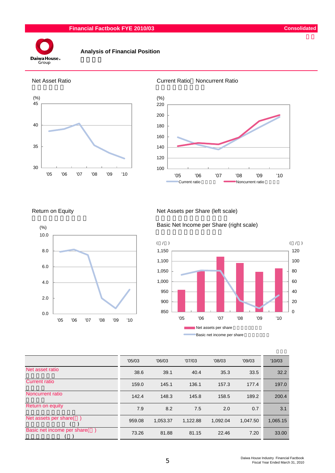#### **Financial Factbook FYE 2010/03 Consolidated**



### **Analysis of Financial Position**









#### Return on Equity Net Assets per Share (left scale)

Basic Net Income per Share (right scale)



|                             | '05/03 | '06/03   | '07/03   | '08/03   | '09/03   | '10/03   |
|-----------------------------|--------|----------|----------|----------|----------|----------|
| Net asset ratio             | 38.6   | 39.1     | 40.4     | 35.3     | 33.5     | 32.2     |
| <b>Current ratio</b>        | 159.0  | 145.1    | 136.1    | 157.3    | 177.4    | 197.0    |
| Noncurrent ratio            | 142.4  | 148.3    | 145.8    | 158.5    | 189.2    | 200.4    |
| Return on equity            | 7.9    | 8.2      | 7.5      | 2.0      | 0.7      | 3.1      |
| Net assets per share(       | 959.08 | 1,053.37 | 1,122.88 | 1,092.04 | 1,047.50 | 1,065.15 |
| Basic net income per share( | 73.26  | 81.88    | 81.15    | 22.46    | 7.20     | 33.00    |

5 Daiwa House Industry Financial Factbook Fiscal Year Ended March 31, 2010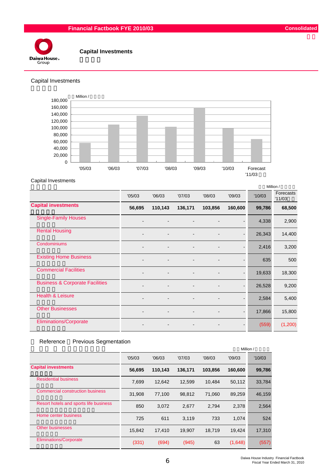## **Financial Factbook FYE 2010/03 Consolidated**



#### **Capital Investments**

#### Capital Investments



#### Capital Investments

|                                            |                |         |         |         |         |        | Million /           |
|--------------------------------------------|----------------|---------|---------|---------|---------|--------|---------------------|
|                                            | '05/03         | '06/03  | '07/03  | '08/03  | '09/03  | '10/03 | Forecasts<br>'11/03 |
| <b>Capital investments</b>                 | 56,695         | 110,143 | 136,171 | 103,856 | 160,600 | 99,786 | 68,500              |
| <b>Single-Family Houses</b>                |                |         |         |         |         | 4,338  | 2,900               |
| <b>Rental Housing</b>                      |                |         |         |         |         | 26,343 | 14,400              |
| Condominiums                               |                |         |         |         |         | 2,416  | 3,200               |
| <b>Existing Home Business</b>              |                |         |         |         |         | 635    | 500                 |
| <b>Commercial Facilities</b>               |                |         |         |         |         | 19,633 | 18,300              |
| <b>Business &amp; Corporate Facilities</b> | $\blacksquare$ |         |         |         |         | 26,528 | 9,200               |
| <b>Health &amp; Leisure</b>                |                |         |         |         |         | 2,584  | 5,400               |
| <b>Other Businesses</b>                    |                |         |         |         |         | 17,866 | 15,800              |
| <b>Eliminations/Corporate</b>              |                |         |         |         |         | (559)  | (1,200)             |

### Reference Previous Segmentation

|                                        |        |         |         |         | Million / |        |
|----------------------------------------|--------|---------|---------|---------|-----------|--------|
|                                        | '05/03 | '06/03  | '07/03  | '08/03  | '09/03    | '10/03 |
| <b>Capital investments</b>             | 56,695 | 110,143 | 136,171 | 103.856 | 160,600   | 99,786 |
| <b>Residential business</b>            | 7.699  | 12.642  | 12,599  | 10.484  | 50,112    | 33,784 |
| Commercial construction business       | 31,908 | 77,100  | 98,812  | 71,060  | 89,259    | 46,159 |
| Resort hotels and sports life business | 850    | 3,072   | 2,677   | 2,794   | 2,378     | 2,564  |
| Home center business                   | 725    | 611     | 3,119   | 733     | 1.074     | 524    |
| <b>Other businesses</b>                | 15,842 | 17,410  | 19,907  | 18,719  | 19,424    | 17,310 |
| <b>Eliminations/Corporate</b>          | (331)  | (694)   | (945)   | 63      | (1,648)   | (557)  |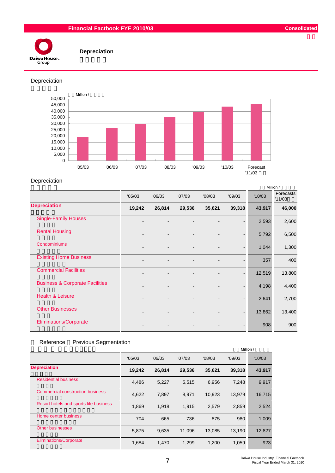## **Financial Factbook FYE 2010/03 Consolidated**



 **Depreciation**

Depreciation



#### Depreciation

|                                            |                |        |        |                          |        |        | Million /           |
|--------------------------------------------|----------------|--------|--------|--------------------------|--------|--------|---------------------|
|                                            | '05/03         | '06/03 | '07/03 | '08/03                   | '09/03 | '10/03 | Forecasts<br>'11/03 |
| <b>Depreciation</b>                        | 19,242         | 26,814 | 29,536 | 35,621                   | 39,318 | 43,917 | 46,000              |
| <b>Single-Family Houses</b>                |                |        |        |                          |        | 2,593  | 2,600               |
| <b>Rental Housing</b>                      | $\blacksquare$ |        |        | $\overline{\phantom{0}}$ |        | 5,792  | 6,500               |
| Condominiums                               |                |        |        |                          |        | 1,044  | 1,300               |
| <b>Existing Home Business</b>              |                |        |        |                          |        | 357    | 400                 |
| <b>Commercial Facilities</b>               |                |        |        |                          |        | 12,519 | 13,800              |
| <b>Business &amp; Corporate Facilities</b> |                |        |        |                          |        | 4,198  | 4,400               |
| <b>Health &amp; Leisure</b>                |                |        |        |                          |        | 2,641  | 2,700               |
| <b>Other Businesses</b>                    |                |        |        |                          |        | 13,862 | 13,400              |
| <b>Eliminations/Corporate</b>              |                |        |        |                          |        | 908    | 900                 |

### Reference Previous Segmentation

|                                         |        |        |        |        | Million / |        |
|-----------------------------------------|--------|--------|--------|--------|-----------|--------|
|                                         | '05/03 | '06/03 | '07/03 | '08/03 | '09/03    | '10/03 |
| <b>Depreciation</b>                     | 19,242 | 26,814 | 29,536 | 35,621 | 39,318    | 43,917 |
| <b>Residential business</b>             | 4,486  | 5,227  | 5,515  | 6,956  | 7,248     | 9,917  |
| <b>Commercial construction business</b> | 4.622  | 7,897  | 8,971  | 10,923 | 13,979    | 16,715 |
| Resort hotels and sports life business  | 1,869  | 1,918  | 1,915  | 2,579  | 2,859     | 2,524  |
| Home center business                    | 704    | 665    | 736    | 875    | 980       | 1.009  |
| <b>Other businesses</b>                 | 5.875  | 9.635  | 11.096 | 13.085 | 13,190    | 12,827 |
| <b>Eliminations/Corporate</b>           | 1.684  | 1,470  | 1.299  | 1.200  | 1,059     | 923    |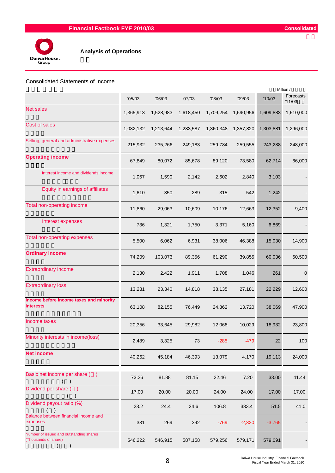

#### Consolidated Statements of Income

|                                                                 | '05/03    | '06/03    | '07/03    | '08/03    | '09/03    | '10/03    | Forecasts<br>'11/03 |
|-----------------------------------------------------------------|-----------|-----------|-----------|-----------|-----------|-----------|---------------------|
| <b>Net sales</b>                                                | 1,365,913 | 1,528,983 | 1,618,450 | 1,709,254 | 1,690,956 | 1,609,883 | 1,610,000           |
| Cost of sales                                                   | 1,082,132 | 1,213,644 | 1,283,587 | 1,360,348 | 1,357,820 | 1,303,881 | 1,296,000           |
| Selling, general and administrative expenses                    | 215,932   | 235,266   | 249,183   | 259,784   | 259,555   | 243,288   | 248,000             |
| <b>Operating income</b>                                         | 67,849    | 80,072    | 85,678    | 89,120    | 73,580    | 62,714    | 66,000              |
| Interest income and dividends income                            | 1,067     | 1,590     | 2,142     | 2,602     | 2,840     | 3,103     |                     |
| Equity in earnings of affiliates                                | 1,610     | 350       | 289       | 315       | 542       | 1,242     |                     |
| Total non-operating income                                      | 11,860    | 29,063    | 10,609    | 10,176    | 12,663    | 12,352    | 9,400               |
| Interest expenses                                               | 736       | 1,321     | 1,750     | 3,371     | 5,160     | 6,869     |                     |
| <b>Total non-operating expenses</b>                             | 5,500     | 6,062     | 6,931     | 38,006    | 46,388    | 15,030    | 14,900              |
| <b>Ordinary income</b>                                          | 74,209    | 103,073   | 89,356    | 61,290    | 39,855    | 60,036    | 60,500              |
| <b>Extraordinary income</b>                                     | 2,130     | 2,422     | 1,911     | 1,708     | 1,046     | 261       | $\mathbf 0$         |
| <b>Extraordinary loss</b>                                       | 13,231    | 23,340    | 14,818    | 38,135    | 27,181    | 22,229    | 12,600              |
| Income before income taxes and minority<br><b>interests</b>     | 63,108    | 82,155    | 76,449    | 24,862    | 13,720    | 38,069    | 47,900              |
| Income taxes                                                    | 20,356    | 33,645    | 29,982    | 12,068    | 10,029    | 18,932    | 23,800              |
| Minority interests in income(loss)                              | 2,489     | 3,325     | 73        | $-285$    | $-479$    | 22        | 100                 |
| <b>Net income</b>                                               | 40,262    | 45,184    | 46,393    | 13,079    | 4,170     | 19,113    | 24,000              |
| Basic net income per share ()<br>$($ )                          | 73.26     | 81.88     | 81.15     | 22.46     | 7.20      | 33.00     | 41.44               |
| Dividend per share ()                                           | 17.00     | 20.00     | 20.00     | 24.00     | 24.00     | 17.00     | 17.00               |
| Dividend payout ratio (%)                                       | 23.2      | 24.4      | 24.6      | 106.8     | 333.4     | 51.5      | 41.0                |
| Balance between financial income and<br>expenses                | 331       | 269       | 392       | $-769$    | $-2,320$  | $-3,765$  |                     |
| Number of issued and outstanding shares<br>(Thousands of share) | 546,222   | 546,915   | 587,158   | 579,256   | 579,171   | 579,091   |                     |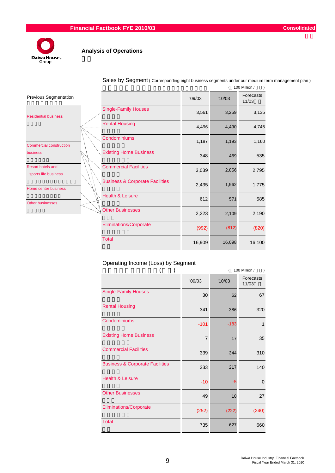

|                                                  |                                            |        |        | 100 Million /       |
|--------------------------------------------------|--------------------------------------------|--------|--------|---------------------|
| <b>Previous Segmentation</b>                     |                                            | '09/03 | '10/03 | Forecasts<br>'11/03 |
| <b>Residential business</b>                      | <b>Single-Family Houses</b>                | 3,561  | 3,259  | 3,135               |
|                                                  | <b>Rental Housing</b>                      | 4,496  | 4,490  | 4,745               |
| <b>Commercial construction</b>                   | Condominiums                               | 1,187  | 1,193  | 1,160               |
| business                                         | <b>Existing Home Business</b>              | 348    | 469    | 535                 |
| <b>Resort hotels and</b><br>sports life business | <b>Commercial Facilities</b>               | 3,039  | 2,856  | 2,795               |
| Home center business                             | <b>Business &amp; Corporate Facilities</b> | 2,435  | 1,962  | 1,775               |
| <b>Other businesses</b>                          | <b>Health &amp; Leisure</b>                | 612    | 571    | 585                 |
|                                                  | <b>Other Businesses</b>                    | 2,223  | 2,109  | 2,190               |
|                                                  | <b>Eliminations/Corporate</b>              | (992)  | (812)  | (820)               |
|                                                  | <b>Total</b>                               | 16,909 | 16,098 | 16,100              |

Sales by Segment ( Corresponding eight business segments under our medium term management plan )

### Operating Income (Loss) by Segment

| 100 Million /                              |        |        |                     |  |  |  |  |
|--------------------------------------------|--------|--------|---------------------|--|--|--|--|
|                                            | '09/03 | '10/03 | Forecasts<br>'11/03 |  |  |  |  |
| <b>Single-Family Houses</b>                | 30     | 62     | 67                  |  |  |  |  |
| <b>Rental Housing</b>                      | 341    | 386    | 320                 |  |  |  |  |
| Condominiums                               | $-101$ | $-183$ | 1                   |  |  |  |  |
| <b>Existing Home Business</b>              | 7      | 17     | 35                  |  |  |  |  |
| <b>Commercial Facilities</b>               | 339    | 344    | 310                 |  |  |  |  |
| <b>Business &amp; Corporate Facilities</b> | 333    | 217    | 140                 |  |  |  |  |
| <b>Health &amp; Leisure</b>                | $-10$  | -5     | 0                   |  |  |  |  |
| <b>Other Businesses</b>                    | 49     | 10     | 27                  |  |  |  |  |
| <b>Eliminations/Corporate</b>              | (252)  | (222)  | (240)               |  |  |  |  |
| <b>Total</b>                               | 735    | 627    | 660                 |  |  |  |  |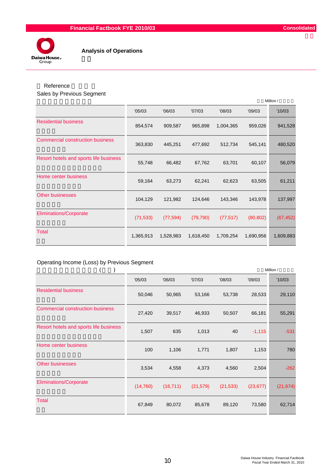

# Reference

Sales by Previous Segment

|                                         |           |           |           |           |           | Million / |
|-----------------------------------------|-----------|-----------|-----------|-----------|-----------|-----------|
|                                         | '05/03    | '06/03    | '07/03    | '08/03    | '09/03    | '10/03    |
| <b>Residential business</b>             | 854,574   | 909,587   | 965,898   | 1,004,365 | 959,026   | 941,528   |
| <b>Commercial construction business</b> | 363,830   | 445,251   | 477,692   | 512,734   | 545,141   | 480,520   |
| Resort hotels and sports life business  | 55,748    | 66,482    | 67,762    | 63,701    | 60,107    | 56,079    |
| Home center business                    | 59,164    | 63,273    | 62,241    | 62,623    | 63,505    | 61,211    |
| <b>Other businesses</b>                 | 104,129   | 121,982   | 124,646   | 143,346   | 143,978   | 137,997   |
| <b>Eliminations/Corporate</b>           | (71, 533) | (77, 594) | (79, 790) | (77, 517) | (80, 802) | (67, 452) |
| <b>Total</b>                            | 1,365,913 | 1,528,983 | 1,618,450 | 1,709,254 | 1,690,956 | 1,609,883 |

### Operating Income (Loss) by Previous Segment

|                                         |           |           |           |           |           | Million / |
|-----------------------------------------|-----------|-----------|-----------|-----------|-----------|-----------|
|                                         | '05/03    | '06/03    | '07/03    | '08/03    | '09/03    | '10/03    |
| <b>Residential business</b>             | 50,046    | 50,965    | 53,166    | 53,738    | 28,533    | 29,110    |
| <b>Commercial construction business</b> | 27,420    | 39,517    | 46,933    | 50,507    | 66,181    | 55,291    |
| Resort hotels and sports life business  | 1,507     | 635       | 1,013     | 40        | $-1,115$  | $-531$    |
| Home center business                    | 100       | 1,106     | 1,771     | 1,807     | 1,153     | 780       |
| <b>Other businesses</b>                 | 3,534     | 4,558     | 4,373     | 4,560     | 2,504     | $-262$    |
| <b>Eliminations/Corporate</b>           | (14, 760) | (16, 711) | (21, 579) | (21, 533) | (23, 677) | (21, 674) |
| <b>Total</b>                            | 67,849    | 80,072    | 85,678    | 89,120    | 73,580    | 62,714    |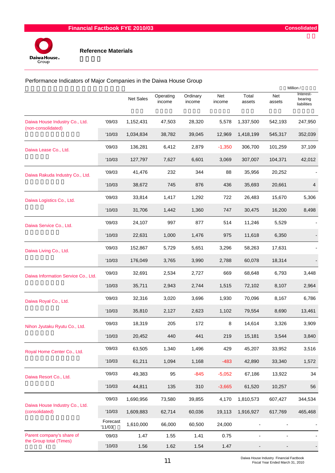

Performance Indicators of Major Companies in the Daiwa House Group

|                                                      |                    |                  |                     |                    |               |                 |               | Million /                           |
|------------------------------------------------------|--------------------|------------------|---------------------|--------------------|---------------|-----------------|---------------|-------------------------------------|
|                                                      |                    | <b>Net Sales</b> | Operating<br>income | Ordinary<br>income | Net<br>income | Total<br>assets | Net<br>assets | Interest-<br>bearing<br>liabilities |
| Daiwa House Industry Co., Ltd.                       | '09/03             | 1,152,431        | 47,503              | 28,320             | 5,578         | 1,337,500       | 542,193       | 247,950                             |
| (non-consolidated)                                   | '10/03             | 1,034,834        | 38,782              | 39,045             | 12,969        | 1,418,199       | 545,317       | 352,039                             |
| Daiwa Lease Co., Ltd.                                | '09/03             | 136,281          | 6,412               | 2,879              | $-1,350$      | 306,700         | 101,259       | 37,109                              |
|                                                      | '10/03             | 127,797          | 7,627               | 6,601              | 3,069         | 307,007         | 104,371       | 42,012                              |
| Daiwa Rakuda Industry Co., Ltd.                      | '09/03             | 41,476           | 232                 | 344                | 88            | 35,956          | 20,252        |                                     |
|                                                      | '10/03             | 38,672           | 745                 | 876                | 436           | 35,693          | 20,661        | 4                                   |
| Daiwa Logistics Co., Ltd.                            | '09/03             | 33,814           | 1,417               | 1,292              | 722           | 26,483          | 15,670        | 5,306                               |
|                                                      | '10/03             | 31,706           | 1,442               | 1,360              | 747           | 30,475          | 16,200        | 8,498                               |
| Daiwa Service Co., Ltd.                              | '09/03             | 24,107           | 997                 | 877                | 514           | 11,246          | 5,529         |                                     |
|                                                      | '10/03             | 22,631           | 1,000               | 1,476              | 975           | 11,618          | 6,350         |                                     |
| Daiwa Living Co., Ltd.                               | '09/03             | 152,867          | 5,729               | 5,651              | 3,296         | 58,263          | 17,631        |                                     |
|                                                      | '10/03             | 176,049          | 3,765               | 3,990              | 2,788         | 60,078          | 18,314        |                                     |
| Daiwa Information Service Co., Ltd.                  | '09/03             | 32,691           | 2,534               | 2,727              | 669           | 68,648          | 6,793         | 3,448                               |
|                                                      | '10/03             | 35,711           | 2,943               | 2,744              | 1,515         | 72,102          | 8,107         | 2,964                               |
| Daiwa Royal Co., Ltd.                                | '09/03             | 32,316           | 3,020               | 3,696              | 1,930         | 70,096          | 8,167         | 6,786                               |
|                                                      | '10/03             | 35,810           | 2,127               | 2,623              | 1,102         | 79,554          | 8,690         | 13,461                              |
| Nihon Jyutaku Ryutu Co., Ltd.                        | '09/03             | 18,319           | 205                 | 172                | 8             | 14,614          | 3,326         | 3,909                               |
|                                                      | '10/03             | 20,452           | 440                 | 441                | 219           | 15,181          | 3,544         | 3,840                               |
| Royal Home Center Co., Ltd.                          | '09/03             | 63,505           | 1,340               | 1,496              | 429           | 45,207          | 33,952        | 3,516                               |
|                                                      | '10/03             | 61,211           | 1,094               | 1,168              | $-483$        | 42,890          | 33,340        | 1,572                               |
| Daiwa Resort Co., Ltd.                               | '09/03             | 49,383           | 95                  | $-845$             | $-5,052$      | 67,186          | 13,922        | 34                                  |
|                                                      | '10/03             | 44,811           | 135                 | 310                | $-3,665$      | 61,520          | 10,257        | 56                                  |
|                                                      | '09/03             | 1,690,956        | 73,580              | 39,855             | 4,170         | 1,810,573       | 607,427       | 344,534                             |
| Daiwa House Industry Co., Ltd.<br>(consolidated)     | '10/03             | 1,609,883        | 62,714              | 60,036             | 19,113        | 1,916,927       | 617,769       | 465,468                             |
|                                                      | Forecast<br>'11/03 | 1,610,000        | 66,000              | 60,500             | 24,000        |                 |               |                                     |
| Parent company's share of<br>the Group total (Times) | '09/03             | 1.47             | 1.55                | 1.41               | 0.75          |                 |               |                                     |
| (                                                    | '10/03             | 1.56             | 1.62                | 1.54               | 1.47          |                 |               |                                     |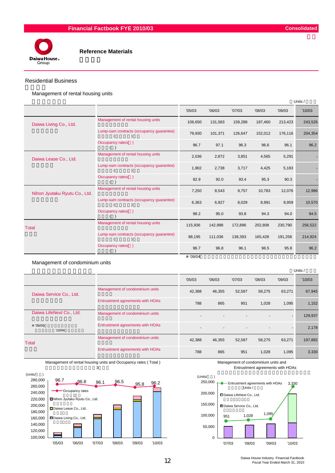

#### Residential Business

Management of rental housing units

|                               |                                          |         |         |         |         |         | Units / |
|-------------------------------|------------------------------------------|---------|---------|---------|---------|---------|---------|
|                               |                                          | '05/03  | '06/03  | '07/03  | '08/03  | '09/03  | '10/03  |
| Daiwa Living Co., Ltd.        | Management of rental housing units       | 106,650 | 131,583 | 159,288 | 187,460 | 213,423 | 243,526 |
|                               | Lump-sum contracts (occupancy guarantee) | 79,930  | 101,371 | 126,647 | 152,012 | 176,116 | 204,354 |
|                               | Occupancy rates()                        | 96.7    | 97.1    | 96.3    | 96.6    | 96.1    | 96.2    |
| Daiwa Lease Co., Ltd.         | Management of rental housing units       | 2,036   | 2,872   | 3,851   | 4,565   | 5,291   |         |
| Occupancy rates()             | Lump-sum contracts (occupancy guarantee) | 1,902   | 2,738   | 3,717   | 4,425   | 5,183   |         |
|                               |                                          | 92.9    | 92.0    | 93.4    | 95.3    | 90.3    |         |
| Nihon Jyutaku Ryutu Co., Ltd. | Management of rental housing units       | 7,250   | 8,543   | 9,757   | 10,783  | 12,076  | 12,996  |
|                               | Lump-sum contracts (occupancy guarantee) | 6,363   | 6,927   | 8,029   | 8,991   | 9,959   | 10,570  |
|                               | Occupancy rates()                        | 98.2    | 95.0    | 93.8    | 94.3    | 94.0    | 94.5    |
| <b>Total</b>                  | Management of rental housing units       | 115,936 | 142,998 | 172,896 | 202,808 | 230,790 | 256,522 |
|                               | Lump-sum contracts (occupancy guarantee) | 88,195  | 111,036 | 138,393 | 165,428 | 191,258 | 214,924 |
|                               | Occupancy rates()                        | 96.7    | 96.8    | 96.1    | 96.5    | 95.8    | 96.2    |

#### Management of condominium units

|                          |                                  |                          |        |        |                          |                          | Units / |
|--------------------------|----------------------------------|--------------------------|--------|--------|--------------------------|--------------------------|---------|
|                          |                                  | '05/03                   | '06/03 | '07/03 | '08/03                   | '09/03                   | '10/03  |
| Daiwa Service Co., Ltd.  | Management of condominium units  | 42,388                   | 46,355 | 52,587 | 58,275                   | 63,271                   | 67,945  |
|                          | Entrustment agreements with HOAs | 788                      | 865    | 951    | 1,028                    | 1,095                    | 1,152   |
| Daiwa LifeNext Co., Ltd. | Management of condominium units  | $\sim$                   |        |        | $\overline{\phantom{a}}$ |                          | 129,937 |
| '09/09<br>'10/04         | Entrustment agreements with HOAs | $\overline{\phantom{a}}$ |        |        |                          | $\overline{\phantom{a}}$ | 2,178   |
| Total                    | Management of condominium units  | 42,388                   | 46,355 | 52,587 | 58,275                   | 63,271                   | 197,882 |
|                          | Entrustment agreements with HOAs | 788                      | 865    | 951    | 1,028                    | 1,095                    | 3,330   |

Management of rental housing units and Occupancy rates ( Total )



Management of condominium units and Entrustment agreements with HOAs

 $'09/04$ 



12 Daiwa House Industry Financial Factbook Fiscal Year Ended March 31, 2010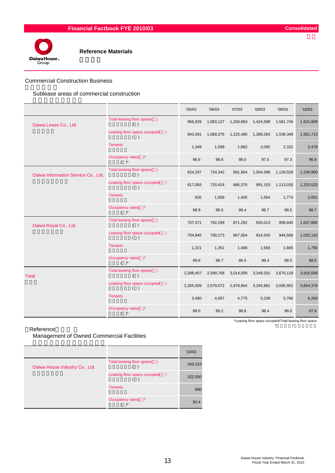

#### Commercial Construction Business

Sublease areas of commercial construction

|                                     |                                       | '05/03    | '06/03    | '07/03    | '08/03    | '09/03    | '10/03    |
|-------------------------------------|---------------------------------------|-----------|-----------|-----------|-----------|-----------|-----------|
| Daiwa Lease Co., Ltd.               | Total leasing floor space()<br>( )    | 956,829   | 1,083,127 | 1,250,863 | 1,424,599 | 1,581,745 | 1,631,809 |
|                                     | Leasing floor space occupied()<br>( ) | 943,581   | 1,068,375 | 1,225,480 | 1,389,283 | 1,538,349 | 1,581,713 |
|                                     | <b>Tenants</b>                        | 1,349     | 1,598     | 1,882     | 2,092     | 2,322     | 2,478     |
|                                     | Occupancy rates()*<br>$( )^*$         | 98.6      | 98.6      | 98.0      | 97.5      | 97.3      | 96.9      |
| Daiwa Information Service Co., Ltd. | Total leasing floor space()<br>$($ )  | 624,207   | 724,342   | 891,904   | 1,004,589 | 1,129,528 | 1,236,900 |
|                                     | Leasing floor space occupied()<br>( ) | 617,083   | 720,424   | 886,370   | 991,153   | 1,113,035 | 1,220,523 |
|                                     | <b>Tenants</b>                        | 920       | 1,058     | 1,405     | 1,564     | 1,773     | 2,001     |
|                                     | Occupancy rates()*<br>$( )^*$         | 98.9      | 99.5      | 99.4      | 98.7      | 98.5      | 98.7      |
| Daiwa Royal Co., Ltd.               | Total leasing floor space()<br>( )    | 707,371   | 792,299   | 871,292   | 920,013   | 958,845   | 1,047,860 |
|                                     | Leasing floor space occupied()<br>( ) | 704,845   | 790,273   | 867,054   | 914,545   | 944,568   | 1,032,142 |
|                                     | <b>Tenants</b>                        | 1,221     | 1,351     | 1,488     | 1,583     | 1,665     | 1,790     |
|                                     | Occupancy rates()*<br>$( )^*$         | 99.6      | 99.7      | 99.5      | 99.4      | 98.5      | 98.5      |
| <b>Total</b>                        | Total leasing floor space()<br>( )    | 2,288,407 | 2,599,768 | 3,014,059 | 3,349,201 | 3,670,118 | 3,916,569 |
|                                     | Leasing floor space occupied()<br>( ) | 2,265,509 | 2,579,072 | 2,978,904 | 3,294,981 | 3,595,952 | 3,834,378 |
|                                     | <b>Tenants</b>                        | 3,490     | 4,007     | 4,775     | 5,239     | 5,760     | 6,269     |
|                                     | Occupancy rates()*<br>$( )^*$         | 99.0      | 99.2      | 98.8      | 98.4      | 98.0      | 97.9      |

Reference 参考 \*入居面積/賃貸可能面積

Management of Owned Commercial Facilities

|                                |                                | '10/03  |
|--------------------------------|--------------------------------|---------|
| Daiwa House Industry Co., Ltd. | Total leasing floor space()    | 349,153 |
|                                | Leasing floor space occupied() | 322,550 |
|                                | <b>Tenants</b>                 | 680     |
|                                | Occupancy rates()*             | 92.4    |

\*Leasing floor space occupied/Total leasing floor space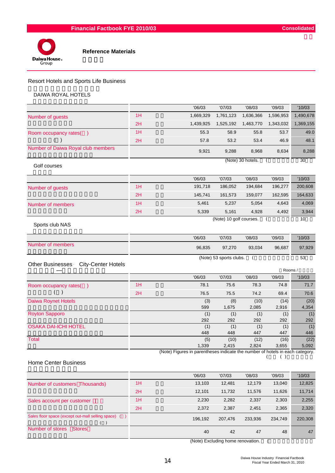



### Resort Hotels and Sports Life Business

#### DAIWA ROYAL HOTELS

|                                                      |    | '06/03                                                                        | '07/03                  | '08/03            | '09/03        | '10/03      |
|------------------------------------------------------|----|-------------------------------------------------------------------------------|-------------------------|-------------------|---------------|-------------|
| Number of guests                                     | 1H | 1,669,329                                                                     | 1,761,123               | 1,636,366         | 1,596,953     | 1,490,678   |
|                                                      | 2H | 1,439,925                                                                     | 1,525,192               | 1,463,770         | 1,343,032     | 1,369,155   |
| Room occupancy rates()                               | 1H | 55.3                                                                          | 58.9                    | 55.8              | 53.7          | 49.0        |
| $($ )                                                | 2H | 57.8                                                                          | 53.2                    | 53.4              | 46.9          | 48.1        |
| Number of Daiwa Royal club members                   |    | 9,921                                                                         | 9,288                   | 8,968             | 8,634         | 8,288       |
| Golf courses                                         |    |                                                                               |                         | (Note) 30 hotels. | - (           | 30          |
|                                                      |    | '06/03                                                                        | '07/03                  | '08/03            | '09/03        | '10/03      |
| Number of guests                                     | 1H | 191,718                                                                       | 186,052                 | 194,684           | 196,277       | 200,608     |
|                                                      | 2H | 145,741                                                                       | 161,573                 | 159,077           | 162,595       | 164,633     |
| Number of members                                    | 1H | 5,461                                                                         | 5,237                   | 5,054             | 4,643         | 4,069       |
|                                                      | 2H | 5,339                                                                         | 5,161                   | 4,928             | 4,492         | 3,944       |
| Sports club NAS                                      |    |                                                                               | (Note) 10 golf courses. |                   |               | 10          |
|                                                      |    | '06/03                                                                        | '07/03                  | '08/03            | '09/03        | '10/03      |
| Number of members                                    |    | 96,835                                                                        | 97,270                  | 93,034            | 96,687        | 97,929      |
|                                                      |    |                                                                               | (Note) 53 sports clubs. | (                 |               | 53          |
| <b>Other Businesses</b><br><b>City-Center Hotels</b> |    |                                                                               |                         |                   | Rooms /       |             |
|                                                      |    | '06/03                                                                        | '07/03                  | '08/03            | '09/03        | '10/03      |
| Room occupancy rates()                               | 1H | 78.1                                                                          | 75.6                    | 78.3              | 74.8          | 71.7        |
| $($ )                                                | 2H | 76.5                                                                          | 75.5                    | 74.2              | 69.4          | 70.6        |
| Daiwa Roynet Hotels                                  |    | (3)                                                                           | (8)                     | (10)              | (14)          | (20)        |
|                                                      |    | 599                                                                           | 1,675                   | 2,085             | 2,916         | 4,354       |
| <b>Royton Sapporo</b>                                |    | (1)                                                                           | (1)                     | (1)               | (1)           | (1)         |
|                                                      |    | 292                                                                           | 292                     | 292               | 292           | 292         |
| <b>OSAKA DAI-ICHI HOTEL</b>                          |    | (1)                                                                           | (1)                     | (1)               | (1)           | (1)         |
| <b>Total</b>                                         |    | 448                                                                           | 448<br>(10)             | 447<br>(12)       | 447           | 446<br>(22) |
|                                                      |    | (5)<br>1,339                                                                  | 2,415                   | 2,824             | (16)<br>3,655 | 5,092       |
|                                                      |    | (Note) Figures in parentheses indicate the number of hotels in each category. |                         |                   |               |             |
|                                                      |    |                                                                               |                         |                   | ( )<br>(      |             |

#### Home Center Business

|                                                      |    | '06/03  | '07/03  | '08/03  | '09/03  | '10/03  |
|------------------------------------------------------|----|---------|---------|---------|---------|---------|
| Number of customers Thousands)                       | 1H | 13.103  | 12,481  | 12.179  | 13.040  | 12,825  |
|                                                      | 2H | 12.101  | 11,732  | 11,576  | 11,626  | 11,714  |
| Sales account per customer                           | 1H | 2,230   | 2,282   | 2,337   | 2,303   | 2,255   |
|                                                      | 2H | 2,372   | 2,387   | 2,451   | 2,365   | 2,320   |
| Sales floor space (except out-mall selling space) () |    | 196.192 | 207.476 | 233,936 | 234.749 | 220,308 |
| Number of stores<br><b>Stores</b>                    |    | 40      | 42      | 47      | 48      | 47      |

(Note) Excluding home renovation. (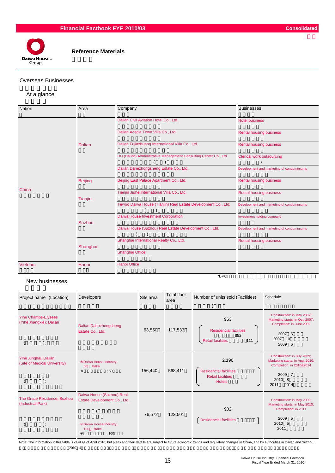

#### Overseas Businesses

#### At a glance

| <b>Nation</b> | Area           | Company                                                           | <b>Businesses</b>                         |
|---------------|----------------|-------------------------------------------------------------------|-------------------------------------------|
|               |                | Dalian Civil Aviation Hotel Co., Ltd.                             | <b>Hotel business</b>                     |
|               |                | Dalian Acacia Town Villa Co., Ltd.                                | <b>Rental housing business</b>            |
|               | <b>Dalian</b>  | Dalian Fujiazhuang International Villa Co., Ltd.                  | <b>Rental housing business</b>            |
|               |                | DH (Dalian) Administrative Management Consulting Center Co., Ltd. | <b>Clerical work outsourcing</b>          |
|               |                | Dalian Dahezhongsheng Estate Co., Ltd.                            | Development and marketing of condominiums |
|               | <b>Beijing</b> | Beijing East Palace Apartment Co., Ltd.                           | <b>Rental housing business</b>            |
| China         | <b>Tianjin</b> | Tianjin Jiuhe International Villa Co., Ltd.                       | <b>Rental housing business</b>            |
|               |                | Tewoo Daiwa House (Tianjin) Real Estate Development Co., Ltd.     | Development and marketing of condominiums |
|               | Suzhou         | Daiwa House Investment Corporation                                | Investment holding company                |
|               |                | Daiwa House (Suzhou) Real Estate Development Co., Ltd.            | Development and marketing of condominiums |
|               | Shanghai       | Shanghai International Realty Co., Ltd.                           | <b>Rental housing business</b>            |
|               |                | Shanghai Office                                                   |                                           |
| Vietnam       | Hanoi          | Hanoi Office                                                      |                                           |

#### New businesses

| Project name (Location)                                     | Developers                                                                                                  | Site area | Total floor<br>area | Number of units sold (Facilities)                                                   | Schedule                                                                                                                       |
|-------------------------------------------------------------|-------------------------------------------------------------------------------------------------------------|-----------|---------------------|-------------------------------------------------------------------------------------|--------------------------------------------------------------------------------------------------------------------------------|
| <b>Yihe Champs-Elysees</b><br>(Yihe Xiangxie); Dalian<br>); | Dalian Dahezhongsheng<br>Estate Co., Ltd.                                                                   | 63,550    | 117,533             | 963<br><b>Residencial facilities</b><br>852<br>111<br><b>Retail facilities</b>      | Construction: in May 2007;<br>Marketing starts: in Oct. 2007;<br>Completion: in June 2009<br>2007 5<br>2007 10<br>2009 6       |
| Yihe Xinghai, Dalian<br>(Site of Medical University)<br>);  | Daiwa House Industry;<br>stake<br>50<br>;50                                                                 | 156,440   | 568,411             | 2,190<br><b>Residencial facilities</b><br><b>Retail facilities</b><br><b>Hotels</b> | Construction: in July 2009;<br>Marketing starts: in Aug. 2010;<br>Completion: in 2010&2014<br>2009 7<br>2010 8<br>2011<br>2014 |
| The Grace Residence, Suzhou<br>(Industrial Park)<br>).      | Daiwa House (Suzhou) Real<br>Estate Development Co., Ltd.<br>Daiwa House Industry;<br>100<br>stake<br>: 100 | 76,572    | 122,501             | 902<br><b>Residencial facilities</b>                                                | Construction: in May 2009;<br>Marketing starts: in May 2010;<br>Completion: in 2011<br>2009 5<br>2010 5<br>2011                |

Note: The information in this table is valid as of April 2010; but plans and their details are subject to future economic trends and regulatory changes in China, and by authorities in Dailan and Suzhou.  $2010 \t 4$ 

 $*$ BPO $*$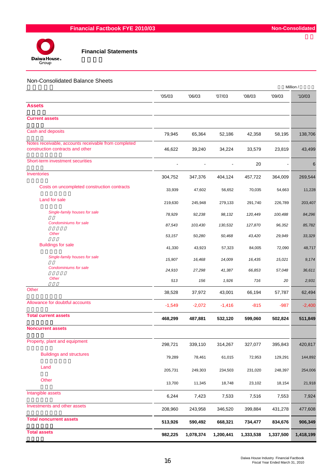

#### Non-Consolidated Balance Sheets

|                                                                                          |          |           |           |           |                | Million / |
|------------------------------------------------------------------------------------------|----------|-----------|-----------|-----------|----------------|-----------|
|                                                                                          | '05/03   | '06/03    | '07/03    | '08/03    | '09/03         | '10/03    |
| <b>Assets</b>                                                                            |          |           |           |           |                |           |
| <b>Current assets</b>                                                                    |          |           |           |           |                |           |
| Cash and deposits                                                                        | 79,945   | 65,364    | 52,186    | 42,358    | 58,195         | 138,706   |
| Notes receivable, accounts receivable from completed<br>construction contracts and other | 46,622   | 39,240    | 34,224    | 33,579    | 23,819         | 43,499    |
| Short-term investment securities                                                         |          |           |           | 20        | $\blacksquare$ | 6         |
| Inventories                                                                              | 304,752  | 347,376   | 404,124   | 457,722   | 364,009        | 269,544   |
| Costs on uncompleted construction contracts                                              | 33,939   | 47,602    | 56,652    | 70,035    | 54,663         | 11,228    |
| Land for sale                                                                            | 219,630  | 245,948   | 279,133   | 291,740   | 226,789        | 203,407   |
| Single-family houses for sale                                                            | 78,929   | 92,238    | 98,132    | 120,449   | 100,488        | 84,296    |
| Condominiums for sale                                                                    | 87,543   | 103,430   | 130,532   | 127,870   | 96,352         | 85,782    |
| Other                                                                                    | 53,157   | 50,280    | 50,468    | 43,420    | 29,949         | 33,329    |
| <b>Buildings for sale</b>                                                                | 41,330   | 43,923    | 57,323    | 84,005    | 72,090         | 48,717    |
| Single-family houses for sale                                                            | 15,907   | 16,468    | 14,009    | 16,435    | 15,021         | 9,174     |
| Condominiums for sale                                                                    | 24,910   | 27,298    | 41,387    | 66,853    | 57,048         | 36,611    |
| Other                                                                                    | 513      | 156       | 1,926     | 716       | 20             | 2,931     |
| Other                                                                                    | 38,528   | 37,972    | 43,001    | 66,194    | 57,787         | 62,494    |
| Allowance for doubtful accounts                                                          | $-1,549$ | $-2,072$  | $-1,416$  | $-815$    | -987           | $-2,400$  |
| <b>Total current assets</b>                                                              | 468,299  | 487,881   | 532,120   | 599,060   | 502,824        | 511,849   |
| <b>Noncurrent assets</b>                                                                 |          |           |           |           |                |           |
| Property, plant and equipment                                                            | 298,721  | 339,110   | 314,267   | 327,077   | 395,843        | 420,817   |
| <b>Buildings and structures</b>                                                          | 79,289   | 78,461    | 61,015    | 72,953    | 129,291        | 144,892   |
| Land                                                                                     | 205,731  | 249,303   | 234,503   | 231,020   | 248,397        | 254,006   |
| Other                                                                                    | 13,700   | 11,345    | 18,748    | 23,102    | 18,154         | 21,918    |
| Intangible assets                                                                        | 6,244    | 7,423     | 7,533     | 7,516     | 7,553          | 7,924     |
| Investments and other assets                                                             | 208,960  | 243,958   | 346,520   | 399,884   | 431,278        | 477,608   |
| <b>Total noncurrent assets</b>                                                           | 513,926  | 590,492   | 668,321   | 734,477   | 834,676        | 906,349   |
| <b>Total assets</b>                                                                      | 982,225  | 1,078,374 | 1,200,441 | 1,333,538 | 1,337,500      | 1,418,199 |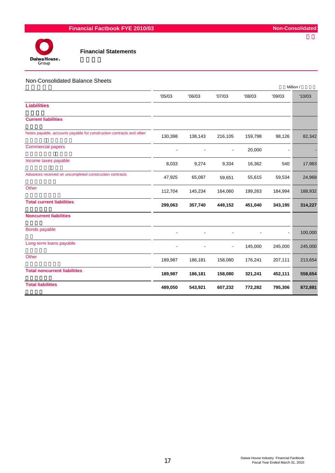

#### Non-Consolidated Balance Sheets

|                                                                      |         |         |         |         |         | Million / |
|----------------------------------------------------------------------|---------|---------|---------|---------|---------|-----------|
|                                                                      | '05/03  | '06/03  | '07/03  | '08/03  | '09/03  | '10/03    |
| <b>Liabilities</b>                                                   |         |         |         |         |         |           |
| <b>Current liabilities</b>                                           |         |         |         |         |         |           |
| Notes payable, accounts payable for construction contracts and other | 130,398 | 138,143 | 216,105 | 159,798 | 98,126  | 82,342    |
| <b>Commercial papers</b>                                             |         |         |         | 20,000  |         |           |
| Income taxes payable                                                 | 8,033   | 9,274   | 9,334   | 16,362  | 540     | 17,983    |
| Advances received on uncompleted construction contracts              | 47,925  | 65,087  | 59,651  | 55,615  | 59,534  | 24,968    |
| Other                                                                | 112,704 | 145,234 | 164,060 | 199,263 | 184,994 | 188,932   |
| <b>Total current liabilities</b>                                     | 299,063 | 357,740 | 449,152 | 451,040 | 343,195 | 314,227   |
| <b>Noncurrent liabilities</b>                                        |         |         |         |         |         |           |
| <b>Bonds payable</b>                                                 |         |         |         |         |         | 100,000   |
| Long-term loans payable                                              |         |         | ۰       | 145,000 | 245,000 | 245,000   |
| Other                                                                | 189,987 | 186,181 | 158,080 | 176,241 | 207,111 | 213,654   |
| <b>Total noncurrent liabilities</b>                                  | 189,987 | 186,181 | 158,080 | 321,241 | 452,111 | 558,654   |
| <b>Total liabilities</b>                                             | 489,050 | 543,921 | 607,232 | 772,282 | 795,306 | 872,881   |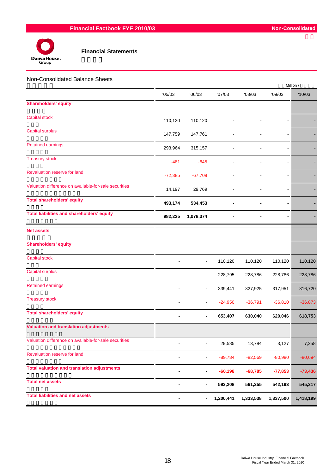

| Non-Consolidated Balance Sheets                       |           |                          |           |           |                              | Million / |
|-------------------------------------------------------|-----------|--------------------------|-----------|-----------|------------------------------|-----------|
|                                                       | '05/03    | '06/03                   | '07/03    | '08/03    | '09/03                       | '10/03    |
| <b>Shareholders' equity</b>                           |           |                          |           |           |                              |           |
| <b>Capital stock</b>                                  | 110,120   | 110,120                  |           |           |                              |           |
| Capital surplus                                       | 147,759   | 147,761                  |           |           |                              |           |
| <b>Retained earnings</b>                              | 293,964   | 315,157                  |           |           |                              |           |
| <b>Treasury stock</b>                                 | $-481$    | $-645$                   |           |           | $\blacksquare$               |           |
| Revaluation reserve for land                          | $-72,385$ | $-67,709$                |           |           | $\blacksquare$               |           |
| Valuation difference on available-for-sale securities | 14,197    | 29,769                   |           |           |                              |           |
| <b>Total shareholders' equity</b>                     | 493,174   | 534,453                  |           |           | $\qquad \qquad \blacksquare$ |           |
| <b>Total liabilities and shareholders' equity</b>     | 982,225   | 1,078,374                |           |           | -                            |           |
| <b>Net assets</b>                                     |           |                          |           |           |                              |           |
| <b>Shareholders' equity</b>                           |           |                          |           |           |                              |           |
| Capital stock                                         |           | $\blacksquare$           | 110,120   | 110,120   | 110,120                      | 110,120   |
| Capital surplus                                       |           | $\overline{\phantom{a}}$ | 228,795   | 228,786   | 228,786                      | 228,786   |
| <b>Retained earnings</b>                              |           | $\blacksquare$           | 339,441   | 327,925   | 317,951                      | 316,720   |
| <b>Treasury stock</b>                                 |           | $\blacksquare$           | $-24,950$ | $-36,791$ | $-36,810$                    | $-36,873$ |
| <b>Total shareholders' equity</b>                     |           |                          | 653,407   | 630,040   | 620,046                      | 618,753   |
| <b>Valuation and translation adjustments</b>          |           |                          |           |           |                              |           |
| Valuation difference on available-for-sale securities |           |                          | 29,585    | 13,784    | 3,127                        | 7,258     |
| Revaluation reserve for land                          |           |                          | $-89,784$ | $-82,569$ | $-80,980$                    | $-80,694$ |
| <b>Total valuation and translation adjustments</b>    |           | -                        | $-60,198$ | $-68,785$ | $-77,853$                    | $-73,436$ |
| <b>Total net assets</b>                               |           | -                        | 593,208   | 561,255   | 542,193                      | 545,317   |
| <b>Total liabilities and net assets</b>               |           | -                        | 1,200,441 | 1,333,538 | 1,337,500                    | 1,418,199 |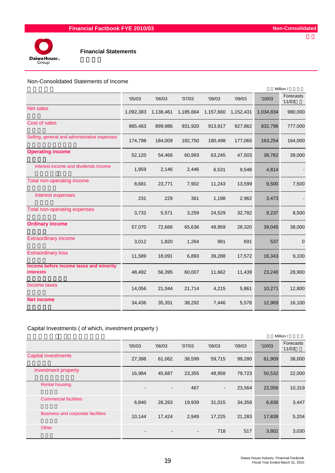

#### Non-Consolidated Statements of Income

|                                                             |           |           |           |           |           | Million / |                     |
|-------------------------------------------------------------|-----------|-----------|-----------|-----------|-----------|-----------|---------------------|
|                                                             | '05/03    | '06/03    | '07/03    | '08/03    | '09/03    | '10/03    | Forecasts<br>'11/03 |
| <b>Net sales</b>                                            | 1,092,383 | 1,138,461 | 1,185,664 | 1,157,660 | 1,152,431 | 1,034,834 | 980,000             |
| Cost of sales                                               | 865,463   | 899,986   | 931,920   | 913,917   | 927,862   | 832,796   | 777,000             |
| Selling, general and administrative expenses                | 174,798   | 184,009   | 192,750   | 180,498   | 177,065   | 163,254   | 164,000             |
| <b>Operating income</b>                                     | 52,120    | 54,466    | 60,993    | 63,245    | 47,503    | 38,782    | 39,000              |
| Interest income and dividends income                        | 1,959     | 2,146     | 2,446     | 6,531     | 9,548     | 4,814     |                     |
| Total non-operating income                                  | 8,681     | 23,771    | 7,902     | 11,243    | 13,599    | 9,500     | 7,500               |
| Interest expenses                                           | 231       | 229       | 361       | 1,198     | 2,962     | 3,473     |                     |
| Total non-operating expenses                                | 3,732     | 5,571     | 3,259     | 24,529    | 32,782    | 9,237     | 8,500               |
| <b>Ordinary income</b>                                      | 57,070    | 72,666    | 65,636    | 49,959    | 28,320    | 39,045    | 38,000              |
| <b>Extraordinary income</b>                                 | 3,012     | 1,820     | 1,264     | 991       | 691       | 537       | $\mathbf 0$         |
| <b>Extraordinary loss</b>                                   | 11,589    | 18,091    | 6,893     | 39,288    | 17,572    | 16,343    | 9,100               |
| Income before income taxes and minority<br><b>interests</b> | 48,492    | 56,395    | 60,007    | 11,662    | 11,439    | 23,240    | 28,900              |
| Income taxes                                                | 14,056    | 21,044    | 21,714    | 4,215     | 5,861     | 10,271    | 12,800              |
| <b>Net income</b>                                           | 34,436    | 35,351    | 38,292    | 7,446     | 5,578     | 12,969    | 16,100              |

### Capital Investments ( of which, investment property )

|                                          |                          |                          |                |                          |        |        | Million /           |
|------------------------------------------|--------------------------|--------------------------|----------------|--------------------------|--------|--------|---------------------|
|                                          | '05/03                   | '06/03                   | '07/03         | '08/03                   | '09/03 | '10/03 | Forecasts<br>'11/03 |
| <b>Capital investments</b>               | 27,398                   | 61,062                   | 38,599         | 59,715                   | 99,280 | 61,909 | 38,000              |
| <b>Investment property</b>               | 16,984                   | 45,687                   | 23,355         | 48,958                   | 79,723 | 50,532 | 22,000              |
| <b>Rental housing</b>                    |                          | $\blacksquare$           | 467            | $\overline{\phantom{a}}$ | 23,564 | 22,056 | 10,319              |
| <b>Commercial facilities</b>             | 6,840                    | 28,263                   | 19,939         | 31,015                   | 34,359 | 6,836  | 3,447               |
| <b>Business and corporate facilities</b> | 10,144                   | 17,424                   | 2,949          | 17,225                   | 21,283 | 17,838 | 5,204               |
| Other                                    | $\overline{\phantom{0}}$ | $\overline{\phantom{a}}$ | $\blacksquare$ | 718                      | 517    | 3,802  | 3,030               |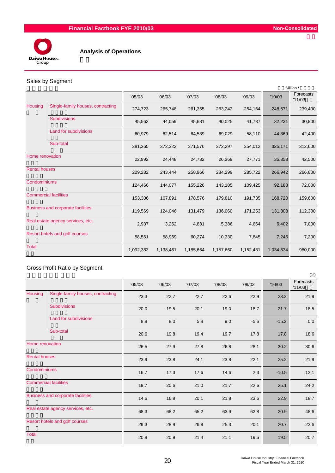

### Sales by Segment

|                                          |           |           |           |           |           |           | Million /           |
|------------------------------------------|-----------|-----------|-----------|-----------|-----------|-----------|---------------------|
|                                          | '05/03    | '06/03    | '07/03    | '08/03    | '09/03    | '10/03    | Forecasts<br>'11/03 |
| Single-family houses, contracting        | 274,723   | 265,748   | 261,355   | 263,242   | 254,164   | 248,571   | 239,400             |
| <b>Subdivisions</b>                      | 45,563    | 44,059    | 45,681    | 40,025    | 41,737    | 32,231    | 30,800              |
| Land for subdivisions                    | 60,979    | 62,514    | 64,539    | 69,029    | 58,110    | 44,369    | 42,400              |
| Sub-total                                | 381,265   | 372,322   | 371,576   | 372,297   | 354,012   | 325,171   | 312,600             |
| Home renovation                          | 22,992    | 24,448    | 24,732    | 26,369    | 27,771    | 36,853    | 42,500              |
|                                          | 229,282   | 243,444   | 258,966   | 284,299   | 285,722   | 266,942   | 266,800             |
|                                          | 124,466   | 144,077   | 155,226   | 143,105   | 109,425   | 92,188    | 72,000              |
| <b>Commercial facilities</b>             | 153,306   | 167,891   | 178,576   | 179,810   | 191,735   | 168,720   | 159,600             |
| <b>Business and corporate facilities</b> | 119,569   | 124,046   | 131,479   | 136,060   | 171,253   | 131,308   | 112,300             |
| Real estate agency services, etc.        | 2,937     | 3,262     | 4,831     | 5,386     | 4,664     | 6,402     | 7,000               |
| Resort hotels and golf courses           | 58,561    | 58,969    | 60,274    | 10,330    | 7,845     | 7,245     | 7,200               |
|                                          | 1,092,383 | 1,138,461 | 1,185,664 | 1,157,660 | 1,152,431 | 1,034,834 | 980,000             |
|                                          |           |           |           |           |           |           |                     |

## Gross Profit Ratio by Segment

|                      |                                   |        |        |        |        |        |         | (%)                 |
|----------------------|-----------------------------------|--------|--------|--------|--------|--------|---------|---------------------|
|                      |                                   | '05/03 | '06/03 | '07/03 | '08/03 | '09/03 | '10/03  | Forecasts<br>'11/03 |
| Housing              | Single-family houses, contracting | 23.3   | 22.7   | 22.7   | 22.6   | 22.9   | 23.2    | 21.9                |
|                      | <b>Subdivisions</b>               | 20.0   | 19.5   | 20.1   | 19.0   | 18.7   | 21.7    | 18.5                |
|                      | Land for subdivisions             | 8.8    | 8.0    | 5.8    | 9.0    | $-5.6$ | $-15.2$ | 0.0                 |
|                      | Sub-total                         | 20.6   | 19.8   | 19.4   | 19.7   | 17.8   | 17.8    | 18.6                |
| Home renovation      |                                   | 26.5   | 27.9   | 27.8   | 26.8   | 28.1   | 30.2    | 30.6                |
| <b>Rental houses</b> |                                   | 23.9   | 23.8   | 24.1   | 23.8   | 22.1   | 25.2    | 21.9                |
| Condominiums         |                                   | 16.7   | 17.3   | 17.6   | 14.6   | 2.3    | $-10.5$ | 12.1                |
|                      | <b>Commercial facilities</b>      | 19.7   | 20.6   | 21.0   | 21.7   | 22.6   | 25.1    | 24.2                |
|                      | Business and corporate facilities | 14.6   | 16.8   | 20.1   | 21.8   | 23.6   | 22.9    | 18.7                |
|                      | Real estate agency services, etc. | 68.3   | 68.2   | 65.2   | 63.9   | 62.8   | 20.9    | 48.6                |
|                      | Resort hotels and golf courses    | 29.3   | 28.9   | 29.8   | 25.3   | 20.1   | 20.7    | 23.6                |
| Total                |                                   | 20.8   | 20.9   | 21.4   | 21.1   | 19.5   | 19.5    | 20.7                |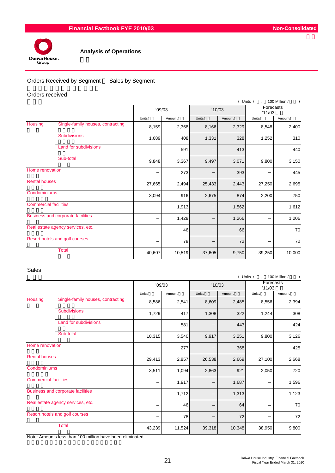

### Orders Received by Segment Sales by Segment

#### Orders received

|                                   |                                          |        |         |        |         | ( Units /           | 100 Million / |
|-----------------------------------|------------------------------------------|--------|---------|--------|---------|---------------------|---------------|
|                                   |                                          | '09/03 |         | '10/03 |         | Forecasts<br>'11/03 |               |
|                                   |                                          | Units/ | Amount/ | Units/ | Amount/ | Units/              | Amount/       |
| Housing                           | Single-family houses, contracting        | 8,159  | 2,368   | 8,166  | 2,329   | 8,548               | 2,400         |
|                                   | <b>Subdivisions</b>                      | 1,689  | 408     | 1,331  | 328     | 1,252               | 310           |
|                                   | Land for subdivisions                    |        | 591     |        | 413     |                     | 440           |
| Sub-total                         |                                          | 9,848  | 3,367   | 9,497  | 3,071   | 9,800               | 3,150         |
| Home renovation                   |                                          |        | 273     |        | 393     |                     | 445           |
| <b>Rental houses</b>              |                                          | 27,665 | 2,494   | 25,433 | 2,443   | 27,250              | 2,695         |
| Condominiums                      |                                          | 3,094  | 916     | 2,675  | 874     | 2,200               | 750           |
| <b>Commercial facilities</b>      |                                          |        | 1,913   |        | 1,562   |                     | 1,612         |
|                                   | <b>Business and corporate facilities</b> |        | 1,428   |        | 1,266   |                     | 1,206         |
| Real estate agency services, etc. |                                          |        | 46      |        | 66      |                     | 70            |
|                                   | Resort hotels and golf courses           |        | 78      |        | 72      |                     | 72            |
| <b>Total</b>                      |                                          | 40,607 | 10,519  | 37,605 | 9,750   | 39,250              | 10,000        |

#### Sales

|                                   |                                   |        |         |        |         | ( Units /           | 100 Million /<br>$\mathcal{L}$ |
|-----------------------------------|-----------------------------------|--------|---------|--------|---------|---------------------|--------------------------------|
|                                   |                                   | '09/03 |         | '10/03 |         | Forecasts<br>'11/03 |                                |
|                                   |                                   | Units/ | Amount/ | Units/ | Amount/ | Units/              | Amount/                        |
| Housing                           | Single-family houses, contracting | 8,586  | 2,541   | 8,609  | 2,485   | 8,556               | 2,394                          |
|                                   | <b>Subdivisions</b>               | 1,729  | 417     | 1,308  | 322     | 1,244               | 308                            |
|                                   | Land for subdivisions             |        | 581     |        | 443     |                     | 424                            |
|                                   | Sub-total                         | 10,315 | 3,540   | 9,917  | 3,251   | 9,800               | 3,126                          |
| Home renovation                   |                                   |        | 277     |        | 368     |                     | 425                            |
| <b>Rental houses</b>              |                                   | 29,413 | 2,857   | 26,538 | 2,669   | 27,100              | 2,668                          |
| Condominiums                      |                                   | 3,511  | 1,094   | 2,863  | 921     | 2,050               | 720                            |
| <b>Commercial facilities</b>      |                                   |        | 1,917   |        | 1,687   |                     | 1,596                          |
|                                   | Business and corporate facilities |        | 1,712   |        | 1,313   |                     | 1,123                          |
| Real estate agency services, etc. |                                   |        | 46      |        | 64      |                     | 70                             |
|                                   | Resort hotels and golf courses    |        | 78      |        | 72      |                     | 72                             |
| <b>Total</b>                      |                                   | 43,239 | 11,524  | 39,318 | 10,348  | 38,950              | 9,800                          |

Note: Amounts less than 100 million have been eliminated.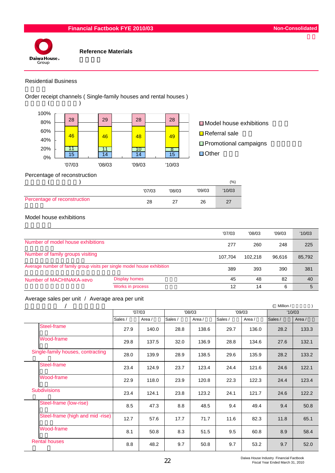

### Residential Business

Order receipt channels ( Single-family houses and rental houses )



 $\Box$  Model house exhibitions  $\Box$  Referral sale ■ Promotional campaigns □ Other

Percentage of reconstruction

|                              |        |        |        | (%)    |
|------------------------------|--------|--------|--------|--------|
|                              | '07/03 | '08/03 | '09/03 | '10/03 |
| Percentage of reconstruction | 28     | 27     | 26     | דכי    |

#### Model house exhibitions

|                                                                         |                      | '07/03  | '08/03 | '09/03 | '10/03 |
|-------------------------------------------------------------------------|----------------------|---------|--------|--------|--------|
| Number of model house exhibitions                                       | 277                  | 260     | 248    | 225    |        |
| Number of family groups visiting                                        | 107.704              | 102.218 | 96.616 | 85,792 |        |
| Average number of family group visits per single model house exhibition |                      | 389     | 393    | 390    | 381    |
| Number of MACHINAKA-xevo                                                | <b>Display homes</b> | 45      | 48     | 82     | 40     |
|                                                                         | Works in process     | 12      | 14     | 6      | 5      |

# Average sales per unit / Average area per unit

|                                   |         |        |         |        |         |        | Million / |        |
|-----------------------------------|---------|--------|---------|--------|---------|--------|-----------|--------|
|                                   |         | '07/03 | '08/03  |        | '09/03  |        | '10/03    |        |
|                                   | Sales / | Area / | Sales / | Area / | Sales / | Area / | Sales /   | Area / |
| Steel-frame                       | 27.9    | 140.0  | 28.8    | 138.6  | 29.7    | 136.0  | 28.2      | 133.3  |
| Wood-frame                        | 29.8    | 137.5  | 32.0    | 136.9  | 28.8    | 134.6  | 27.6      | 132.1  |
| Single-family houses, contracting | 28.0    | 139.9  | 28.9    | 138.5  | 29.6    | 135.9  | 28.2      | 133.2  |
| Steel-frame                       | 23.4    | 124.9  | 23.7    | 123.4  | 24.4    | 121.6  | 24.6      | 122.1  |
| Wood-frame                        | 22.9    | 118.0  | 23.9    | 120.8  | 22.3    | 122.3  | 24.4      | 123.4  |
| <b>Subdivisions</b>               | 23.4    | 124.1  | 23.8    | 123.2  | 24.1    | 121.7  | 24.6      | 122.2  |
| Steel-frame (low-rise)            | 8.5     | 47.3   | 8.8     | 48.5   | 9.4     | 49.4   | 9.4       | 50.8   |
| Steel-frame (high and mid-rise)   | 12.7    | 57.6   | 17.7    | 71.7   | 11.6    | 82.3   | 11.8      | 65.1   |
| Wood-frame                        | 8.1     | 50.8   | 8.3     | 51.5   | 9.5     | 60.8   | 8.9       | 58.4   |
| <b>Rental houses</b>              | 8.8     | 48.2   | 9.7     | 50.8   | 9.7     | 53.2   | 9.7       | 52.0   |